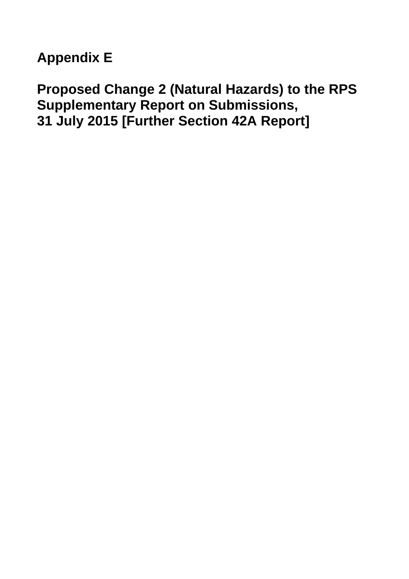**Appendix E** 

**Proposed Change 2 (Natural Hazards) to the RPS Bay of Plenty Regional Policy Statement Supplementary Report on Submissions, 31 July 2015 [Further Section 42A Report]**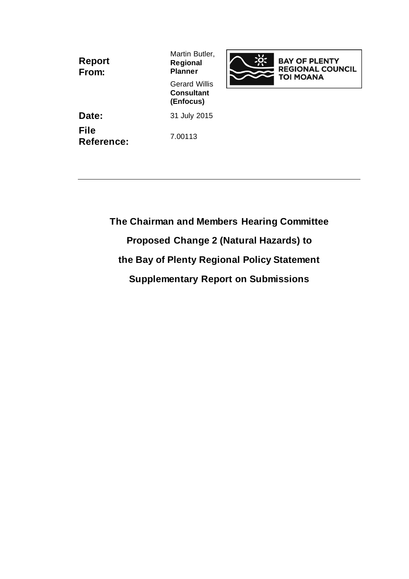| <b>Report</b><br>From:    | Martin Butler,<br><b>Regional</b><br><b>Planner</b>    |
|---------------------------|--------------------------------------------------------|
|                           | <b>Gerard Willis</b><br><b>Consultant</b><br>(Enfocus) |
| Date:                     | 31 July 2015                                           |
| <b>File</b><br>Reference: | 7.00113                                                |

**The Chairman and Members Hearing Committee Proposed Change 2 (Natural Hazards) to the Bay of Plenty Regional Policy Statement Supplementary Report on Submissions** 

**BAY OF PLENTY<br>REGIONAL COUNCIL<br>TOI MOANA**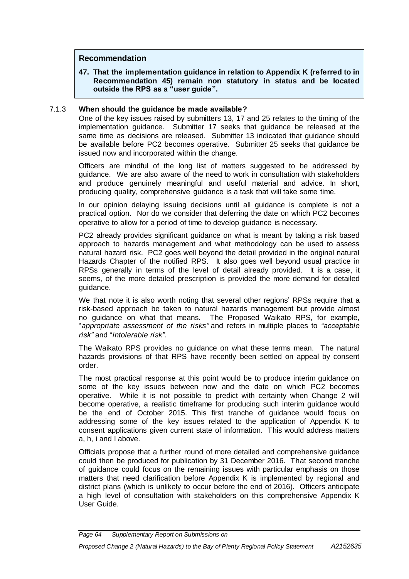## **Recommendation**

**47. That the implementation guidance in relation to Appendix K (referred to in Recommendation [45\)](#page-64-0) remain non statutory in status and be located outside the RPS as a "user guide".**

## 7.1.3 **When should the guidance be made available?**

One of the key issues raised by submitters 13, 17 and 25 relates to the timing of the implementation guidance. Submitter 17 seeks that guidance be released at the same time as decisions are released. Submitter 13 indicated that guidance should be available before PC2 becomes operative. Submitter 25 seeks that guidance be issued now and incorporated within the change.

Officers are mindful of the long list of matters suggested to be addressed by guidance. We are also aware of the need to work in consultation with stakeholders and produce genuinely meaningful and useful material and advice. In short, producing quality, comprehensive guidance is a task that will take some time.

In our opinion delaying issuing decisions until all guidance is complete is not a practical option. Nor do we consider that deferring the date on which PC2 becomes operative to allow for a period of time to develop guidance is necessary.

PC2 already provides significant guidance on what is meant by taking a risk based approach to hazards management and what methodology can be used to assess natural hazard risk. PC2 goes well beyond the detail provided in the original natural Hazards Chapter of the notified RPS. It also goes well beyond usual practice in RPSs generally in terms of the level of detail already provided. It is a case, it seems, of the more detailed prescription is provided the more demand for detailed guidance.

We that note it is also worth noting that several other regions' RPSs require that a risk-based approach be taken to natural hazards management but provide almost no guidance on what that means. The Proposed Waikato RPS, for example, "*appropriate assessment of the risks"* and refers in multiple places to *"acceptable risk"* and "*intolerable risk".* 

The Waikato RPS provides no guidance on what these terms mean. The natural hazards provisions of that RPS have recently been settled on appeal by consent order.

The most practical response at this point would be to produce interim guidance on some of the key issues between now and the date on which PC2 becomes operative. While it is not possible to predict with certainty when Change 2 will become operative, a realistic timeframe for producing such interim guidance would be the end of October 2015. This first tranche of guidance would focus on addressing some of the key issues related to the application of Appendix K to consent applications given current state of information. This would address matters a, h, i and l above.

Officials propose that a further round of more detailed and comprehensive guidance could then be produced for publication by 31 December 2016. That second tranche of guidance could focus on the remaining issues with particular emphasis on those matters that need clarification before Appendix K is implemented by regional and district plans (which is unlikely to occur before the end of 2016). Officers anticipate a high level of consultation with stakeholders on this comprehensive Appendix K User Guide.

*Page 64 Supplementary Report on Submissions on*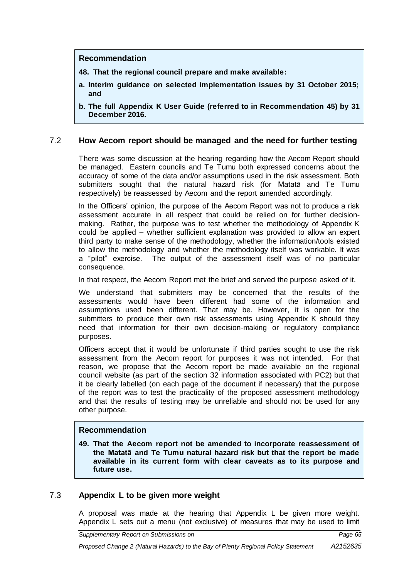## **Recommendation**

- **48. That the regional council prepare and make available:**
- **a. Interim guidance on selected implementation issues by 31 October 2015; and**
- **b. The full Appendix K User Guide (referred to in Recommendation [45\)](#page-64-0) by 31 December 2016.**

## 7.2 **How Aecom report should be managed and the need for further testing**

There was some discussion at the hearing regarding how the Aecom Report should be managed. Eastern councils and Te Tumu both expressed concerns about the accuracy of some of the data and/or assumptions used in the risk assessment. Both submitters sought that the natural hazard risk (for Matatā and Te Tumu respectively) be reassessed by Aecom and the report amended accordingly.

In the Officers' opinion, the purpose of the Aecom Report was not to produce a risk assessment accurate in all respect that could be relied on for further decisionmaking. Rather, the purpose was to test whether the methodology of Appendix K could be applied – whether sufficient explanation was provided to allow an expert third party to make sense of the methodology, whether the information/tools existed to allow the methodology and whether the methodology itself was workable. It was a "pilot" exercise. The output of the assessment itself was of no particular consequence.

In that respect, the Aecom Report met the brief and served the purpose asked of it.

We understand that submitters may be concerned that the results of the assessments would have been different had some of the information and assumptions used been different. That may be. However, it is open for the submitters to produce their own risk assessments using Appendix K should they need that information for their own decision-making or regulatory compliance purposes.

Officers accept that it would be unfortunate if third parties sought to use the risk assessment from the Aecom report for purposes it was not intended. For that reason, we propose that the Aecom report be made available on the regional council website (as part of the section 32 information associated with PC2) but that it be clearly labelled (on each page of the document if necessary) that the purpose of the report was to test the practicality of the proposed assessment methodology and that the results of testing may be unreliable and should not be used for any other purpose.

#### **Recommendation**

**49. That the Aecom report not be amended to incorporate reassessment of the Matatā and Te Tumu natural hazard risk but that the report be made available in its current form with clear caveats as to its purpose and future use.**

## 7.3 **Appendix L to be given more weight**

A proposal was made at the hearing that Appendix L be given more weight. Appendix L sets out a menu (not exclusive) of measures that may be used to limit

*Supplementary Report on Submissions on Page 65*

*Proposed Change 2 (Natural Hazards) to the Bay of Plenty Regional Policy Statement*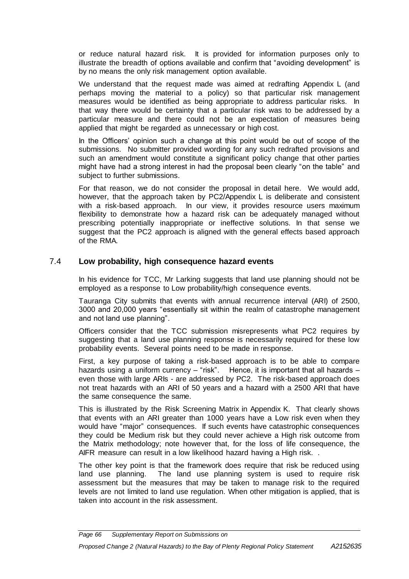or reduce natural hazard risk. It is provided for information purposes only to illustrate the breadth of options available and confirm that "avoiding development" is by no means the only risk management option available.

We understand that the request made was aimed at redrafting Appendix L (and perhaps moving the material to a policy) so that particular risk management measures would be identified as being appropriate to address particular risks. In that way there would be certainty that a particular risk was to be addressed by a particular measure and there could not be an expectation of measures being applied that might be regarded as unnecessary or high cost.

In the Officers' opinion such a change at this point would be out of scope of the submissions. No submitter provided wording for any such redrafted provisions and such an amendment would constitute a significant policy change that other parties might have had a strong interest in had the proposal been clearly "on the table" and subject to further submissions.

For that reason, we do not consider the proposal in detail here. We would add, however, that the approach taken by PC2/Appendix L is deliberate and consistent with a risk-based approach. In our view, it provides resource users maximum flexibility to demonstrate how a hazard risk can be adequately managed without prescribing potentially inappropriate or ineffective solutions. In that sense we suggest that the PC2 approach is aligned with the general effects based approach of the RMA.

## 7.4 **Low probability, high consequence hazard events**

In his evidence for TCC, Mr Larking suggests that land use planning should not be employed as a response to Low probability/high consequence events.

Tauranga City submits that events with annual recurrence interval (ARI) of 2500, 3000 and 20,000 years "essentially sit within the realm of catastrophe management and not land use planning".

Officers consider that the TCC submission misrepresents what PC2 requires by suggesting that a land use planning response is necessarily required for these low probability events. Several points need to be made in response.

First, a key purpose of taking a risk-based approach is to be able to compare hazards using a uniform currency - "risk". Hence, it is important that all hazards even those with large ARIs - are addressed by PC2. The risk-based approach does not treat hazards with an ARI of 50 years and a hazard with a 2500 ARI that have the same consequence the same.

This is illustrated by the Risk Screening Matrix in Appendix K. That clearly shows that events with an ARI greater than 1000 years have a Low risk even when they would have "major" consequences. If such events have catastrophic consequences they could be Medium risk but they could never achieve a High risk outcome from the Matrix methodology; note however that, for the loss of life consequence, the AIFR measure can result in a low likelihood hazard having a High risk. .

The other key point is that the framework does require that risk be reduced using land use planning. The land use planning system is used to require risk assessment but the measures that may be taken to manage risk to the required levels are not limited to land use regulation. When other mitigation is applied, that is taken into account in the risk assessment.

#### *Proposed Change 2 (Natural Hazards) to the Bay of Plenty Regional Policy Statement*

*Page 66 Supplementary Report on Submissions on*